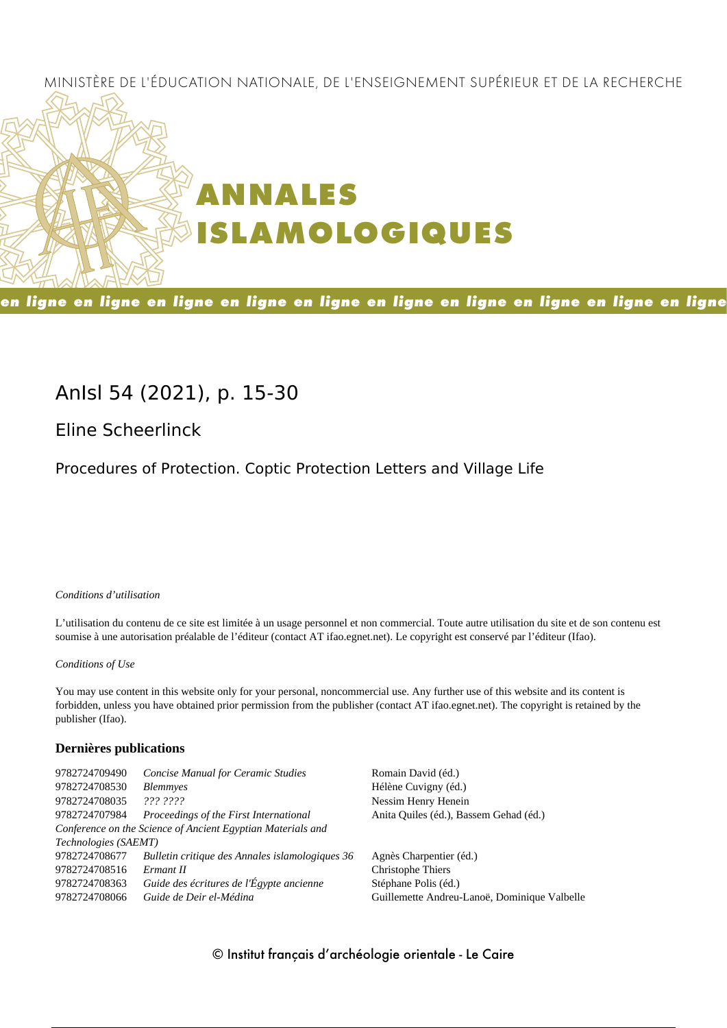## MINISTÈRE DE L'ÉDUCATION NATIONALE, DE L'ENSEIGNEMENT SUPÉRIEUR ET DE LA RECHERCHE



en ligne en ligne en ligne en ligne en ligne en ligne en ligne en ligne en ligne en ligne

# **AnIsl 54 (2021), p. 15-30**

**Eline Scheerlinck**

Procedures of Protection. Coptic Protection Letters and Village Life

#### *Conditions d'utilisation*

L'utilisation du contenu de ce site est limitée à un usage personnel et non commercial. Toute autre utilisation du site et de son contenu est soumise à une autorisation préalable de l'éditeur (contact AT ifao.egnet.net). Le copyright est conservé par l'éditeur (Ifao).

#### *Conditions of Use*

You may use content in this website only for your personal, noncommercial use. Any further use of this website and its content is forbidden, unless you have obtained prior permission from the publisher (contact AT ifao.egnet.net). The copyright is retained by the publisher (Ifao).

#### **Dernières publications**

| 9782724709490        | <b>Concise Manual for Ceramic Studies</b>                   | Romain David (éd.)                           |
|----------------------|-------------------------------------------------------------|----------------------------------------------|
| 9782724708530        | <b>Blemmyes</b>                                             | Hélène Cuvigny (éd.)                         |
| 9782724708035        | ??? ????                                                    | Nessim Henry Henein                          |
| 9782724707984        | Proceedings of the First International                      | Anita Quiles (éd.), Bassem Gehad (éd.)       |
|                      | Conference on the Science of Ancient Egyptian Materials and |                                              |
| Technologies (SAEMT) |                                                             |                                              |
| 9782724708677        | Bulletin critique des Annales islamologiques 36             | Agnès Charpentier (éd.)                      |
| 9782724708516        | Ermant II                                                   | Christophe Thiers                            |
| 9782724708363        | Guide des écritures de l'Égypte ancienne                    | Stéphane Polis (éd.)                         |
| 9782724708066        | Guide de Deir el-Médina                                     | Guillemette Andreu-Lanoë, Dominique Valbelle |
|                      |                                                             |                                              |

## © Institut français d'archéologie orientale - Le Caire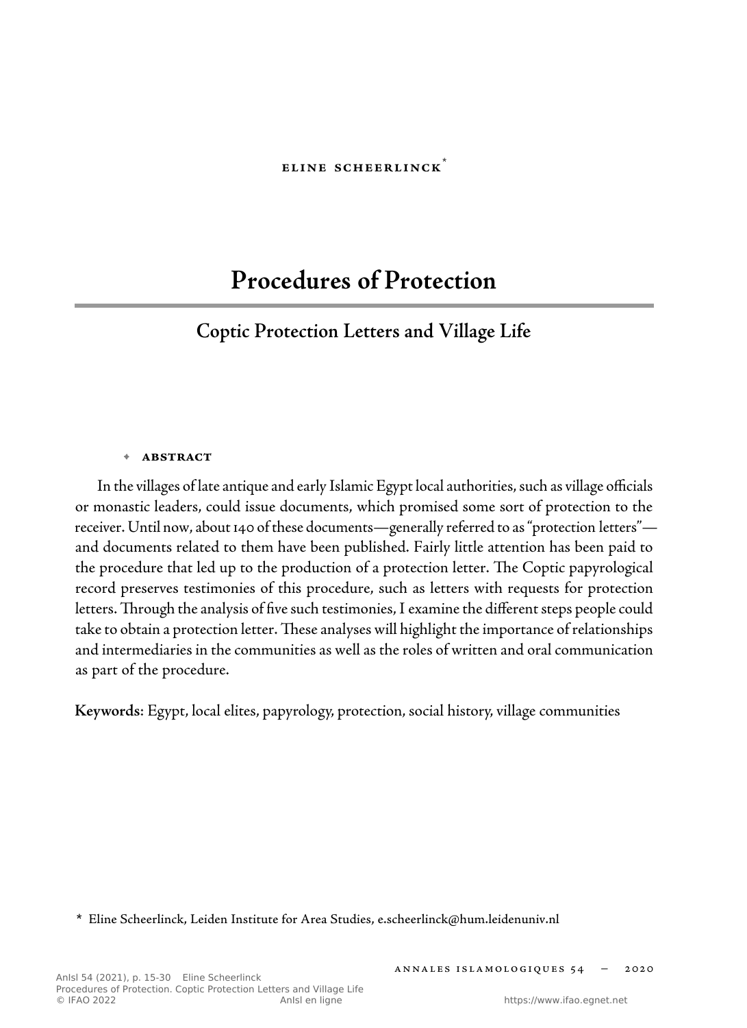#### **eline scheerlinck**\*

# **Procedures of Protection**

# **Coptic Protection Letters and Village Life**

#### **• abstract**

 In the villages of late antique and early Islamic Egypt local authorities, such as village officials or monastic leaders, could issue documents, which promised some sort of protection to the receiver. Until now, about 140 of these documents—generally referred to as " protection letters" and documents related to them have been published. Fairly little attention has been paid to the procedure that led up to the production of a protection letter. The Coptic papyrological record preserves testimonies of this procedure, such as letters with requests for protection letters. Through the analysis of five such testimonies, I examine the different steps people could take to obtain a protection letter. These analyses will highlight the importance of relationships and intermediaries in the communities as well as the roles of written and oral communication as part of the procedure.

**Keywords**: Egypt, local elites, papyrology, protection, social history, village communities

 **\*** Eline Scheerlinck, Leiden Institute for Area Studies , e.scheerlinck@hum.leidenuniv.nl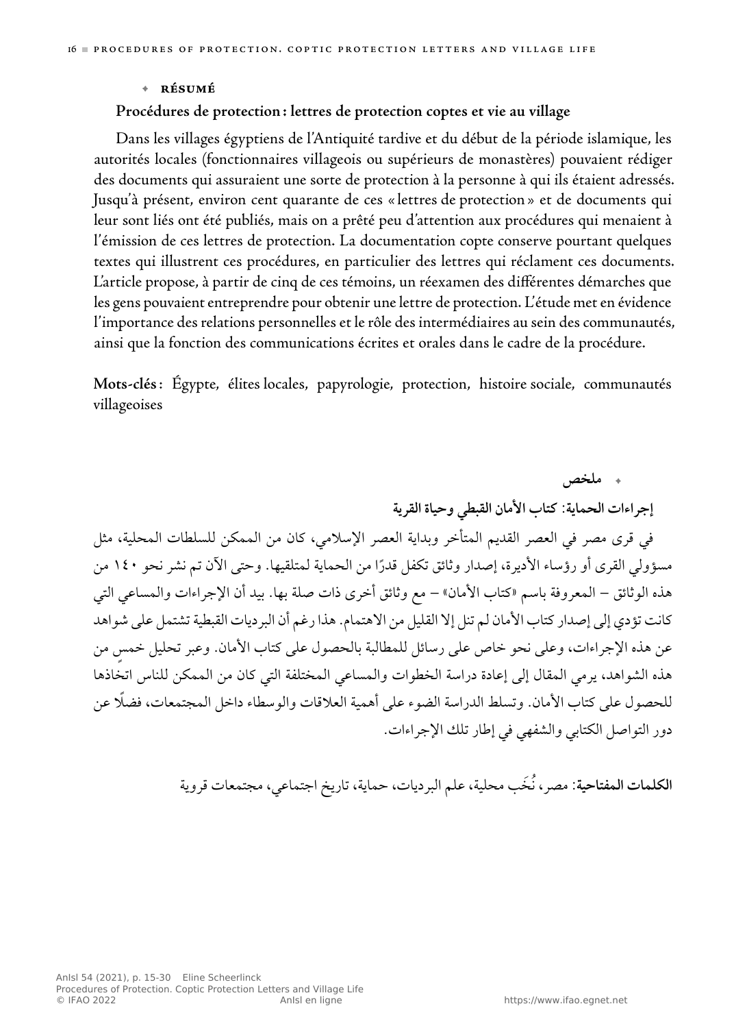#### **• résumé**

### **Procédures de protection : lettres de protection coptes et vie au village**

 Dans les villages égyptiens de l'Antiquité tardive et du début de la période islamique, les autorités locales (fonctionnaires villageois ou supérieurs de monastères) pouvaient rédiger des documents qui assuraient une sorte de protection à la personne à qui ils étaient adressés. Jusqu'à présent, environ cent quarante de ces « lettres de protection » et de documents qui leur sont liés ont été publiés, mais on a prêté peu d'attention aux procédures qui menaient à l'émission de ces lettres de protection. La documentation copte conserve pourtant quelques textes qui illustrent ces procédures, en particulier des lettres qui réclament ces documents. L'article propose, à partir de cinq de ces témoins, un réexamen des différentes démarches que les gens pouvaient entreprendre pour obtenir unelettre de protection. L'étude met en évidence l'importance des relations personnelles et le rôle des intermédiaires au sein des communautés, ainsi que la fonction des communications écrites et orales dans le cadre de la procédure.

**Mots-clés** : Égypte, élites locales, papyrologie, protection, histoire sociale, communautés villageoises

**. ملخص إجراءات الحماية: كتاب الأمان القبطي وحياة القرية** في قرى مصر في العصر القديم المتأخر وبداية العصر الإسلامي، كان من الممكن للسلطات المحلية، مثل مسؤولي القرى او رؤساء الأديرة، إصدار وثائق تكفل قدرًا من الحماية لمتلقيها. وحتى الأن تم نشر نحو ١٤٠ من هذه الوثائق – المعروفة باسم «كتاب الأمان» – مع وثائق أخر ذات صلة بها. بيد أن الإجراءات والمساعي التي كانت تؤدي إلى إصدار كتاب الأمان لم تنل إلا القليل من الاهتمام. هذا رغم أن البر ديات القبطية تشتمل على شواهد عن هذه الإجراءات، وعلى نحو خاص على رسائل للمطالبة بالحصول على كتاب الأمان. وعبر تحليل خمس من هذه الشواهد، يرمي المقال إلى إعادة دراسة الخطوات والمساعي المختلفة التي كان من الممكن للناس اتخاذها للحصول على كتاب الأمان. وتسلط الدراسة الضوء على أهمية العلاقات والوسطاء داخل المجتمعات، ً فضلا عن دور التواصل الكتابي والشفهي في إطار تلك الإجراءات.

**الكلمات المفتاحية** : مصر،ُن َخب محلية، علم البرديات، حماية، تاريخ اجتماعي، مجتمعات قروية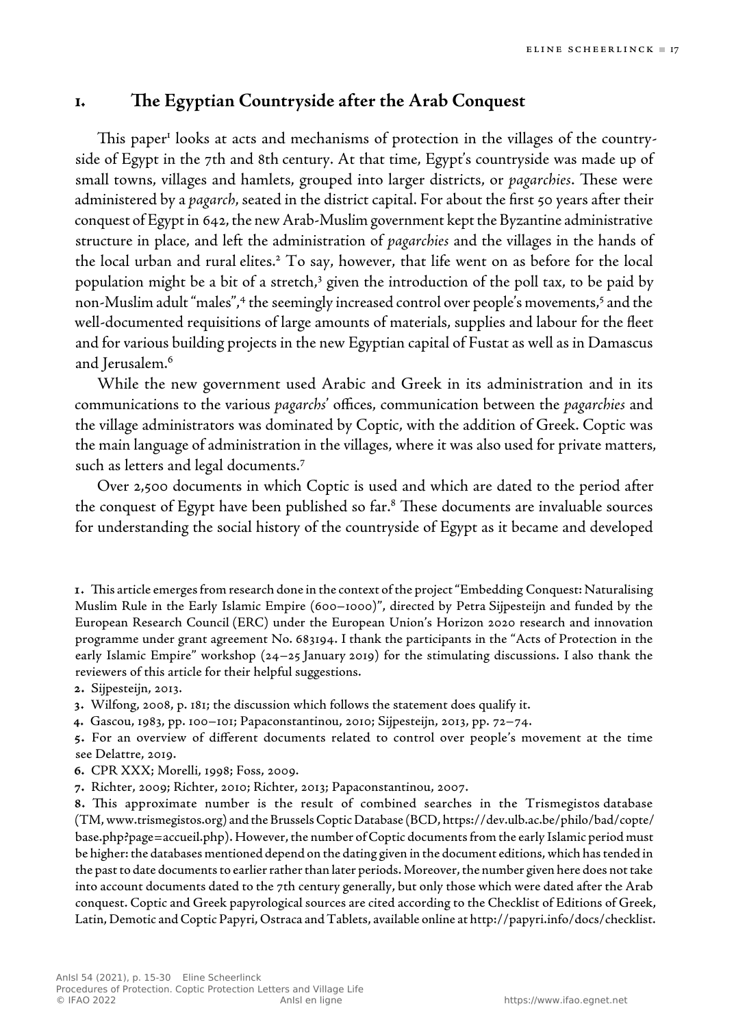# **1. e Egyptian Countryside after the Arab Conquest**

This paper<sup>1</sup> looks at acts and mechanisms of protection in the villages of the countryside of Egypt in the 7th and 8th century. At that time, Egypt's countryside was made up of small towns, villages and hamlets, grouped into larger districts, or *pagarchies*. These were administered by a *pagarch*, seated in the district capital. For about the first 50 years after their conquest of Egypt in 642, the new Arab-Muslim government kept the Byzantine administrative structure in place, and left the administration of *pagarchies* and the villages in the hands of the local urban and rural elites.<sup>2</sup> To say, however, that life went on as before for the local population might be a bit of a stretch,<sup>3</sup> given the introduction of the poll tax, to be paid by non-Muslim adult "males",4 the seemingly increased control over people's movements, <sup>5</sup> and the well-documented requisitions of large amounts of materials, supplies and labour for the fleet and for various building projects in the new Egyptian capital of Fustat as well as in Damascus and Jerusalem. 6

 While the new government used Arabic and Greek in its administration and in its communications to the various *pagarchs* ' offices, communication between the *pagarchies* and the village administrators was dominated by Coptic, with the addition of Greek. Coptic was the main language of administration in the villages, where it was also used for private matters, such as letters and legal documents. 7

 Over 2,500 documents in which Coptic is used and which are dated to the period after the conquest of Egypt have been published so  $far$ <sup>8</sup> These documents are invaluable sources for understanding the social history of the countryside of Egypt as it became and developed

1. This article emerges from research done in the context of the project "Embedding Conquest: Naturalising Muslim Rule in the Early Islamic Empire (600–1000)", directed by Petra Sijpesteijn and funded by the European Research Council (ERC) under the European Union's Horizon 2020 research and innovation programme under grant agreement No. 683194. I thank the participants in the "Acts of Protection in the early Islamic Empire" workshop  $(24-25)$  January 2019) for the stimulating discussions. I also thank the reviewers of this article for their helpful suggestions.

**.** Sijpesteijn, 2013.

**.** Wilfong, 2008, p. 181; the discussion which follows the statement does qualify it.

**.** Gascou, 1983, pp. 100–101; Papaconstantinou, 2010; Sijpesteijn, 2013, pp. 72–74.

**.** For an overview of different documents related to control over people's movement at the time see Delattre, 2019.

- **.** CPR XXX; Morelli, 1998; Foss, 2009.
- **.** Richter, 2009; Richter, 2010; Richter, 2013; Papaconstantinou, 2007.

**8.** This approximate number is the result of combined searches in the Trismegistos database (TM, www.trismegistos.org ) and the Brussels Coptic Database (BCD, https://dev.ulb.ac.be/philo/bad/copte/ base.php?page=accueil.php ). However, the number of Coptic documents from the early Islamic period must be higher: the databases mentioned depend on the dating given in the document editions, which has tended in the past to date documents to earlier rather than later periods. Moreover, the number given here does not take into account documents dated to the 7th century generally, but only those which were dated after the Arab conquest. Coptic and Greek papyrological sources are cited according to the Checklist of Editions of Greek, Latin, Demotic and Coptic Papyri, Ostraca and Tablets, available online at http://papyri.info/docs/checklist .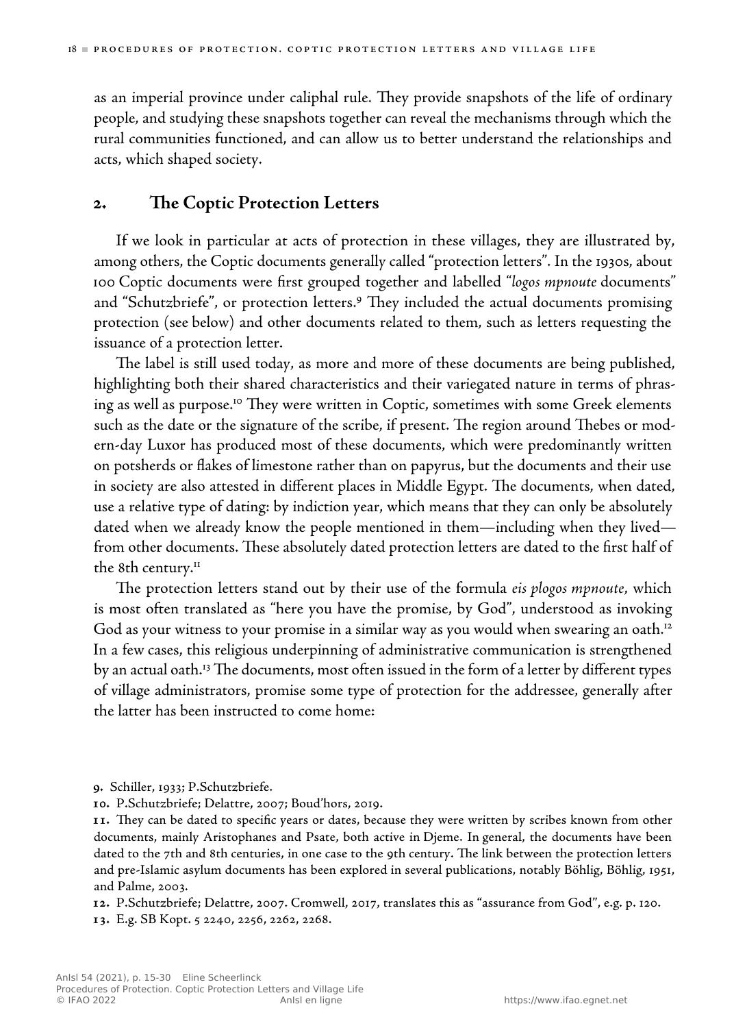as an imperial province under caliphal rule. They provide snapshots of the life of ordinary people, and studying these snapshots together can reveal the mechanisms through which the rural communities functioned, and can allow us to better understand the relationships and acts, which shaped society.

## **2. e Coptic Protection Letters**

 If we look in particular at acts of protection in these villages, they are illustrated by, among others, the Coptic documents generally called "protection letters". In the 1930s, about 100 Coptic documents were first grouped together and labelled " *logos mpnoute* documents" and "Schutzbriefe", or protection letters.<sup>9</sup> They included the actual documents promising protection (see below) and other documents related to them, such as letters requesting the issuance of a protection letter.

The label is still used today, as more and more of these documents are being published, highlighting both their shared characteristics and their variegated nature in terms of phrasing as well as purpose. $^{\text{\tiny{IO}}}$  They were written in Coptic, sometimes with some Greek elements such as the date or the signature of the scribe, if present. The region around Thebes or modern-day Luxor has produced most of these documents, which were predominantly written on potsherds or flakes of limestone rather than on papyrus, but the documents and their use in society are also attested in different places in Middle Egypt. The documents, when dated, use a relative type of dating: by indiction year, which means that they can only be absolutely dated when we already know the people mentioned in them—including when they lived from other documents. These absolutely dated protection letters are dated to the first half of the 8th century. $^{\text{II}}$ 

The protection letters stand out by their use of the formula *eis plogos mpnoute*, which is most often translated as "here you have the promise, by God", understood as invoking God as your witness to your promise in a similar way as you would when swearing an oath.<sup>12</sup> In a few cases, this religious underpinning of administrative communication is strengthened by an actual oath.<sup>13</sup> The documents, most often issued in the form of a letter by different types of village administrators, promise some type of protection for the addressee, generally after the latter has been instructed to come home:

- **.** Schiller, 1933; P.Schutzbriefe.
- **.** P.Schutzbriefe; Delattre, 2007; Boud'hors, 2019.

11. They can be dated to specific years or dates, because they were written by scribes known from other documents, mainly Aristophanes and Psate, both active in Djeme. In general, the documents have been dated to the 7th and 8th centuries, in one case to the 9th century. The link between the protection letters and pre-Islamic asylum documents has been explored in several publications, notably Böhlig, Böhlig, 1951, and Palme, 2003.

**.** P.Schutzbriefe; Delattre, 2007. Cromwell, 2017, translates this as "assurance from God", e.g. p. 120.

**.** E.g. SB Kopt. 5 2240, 2256, 2262, 2268.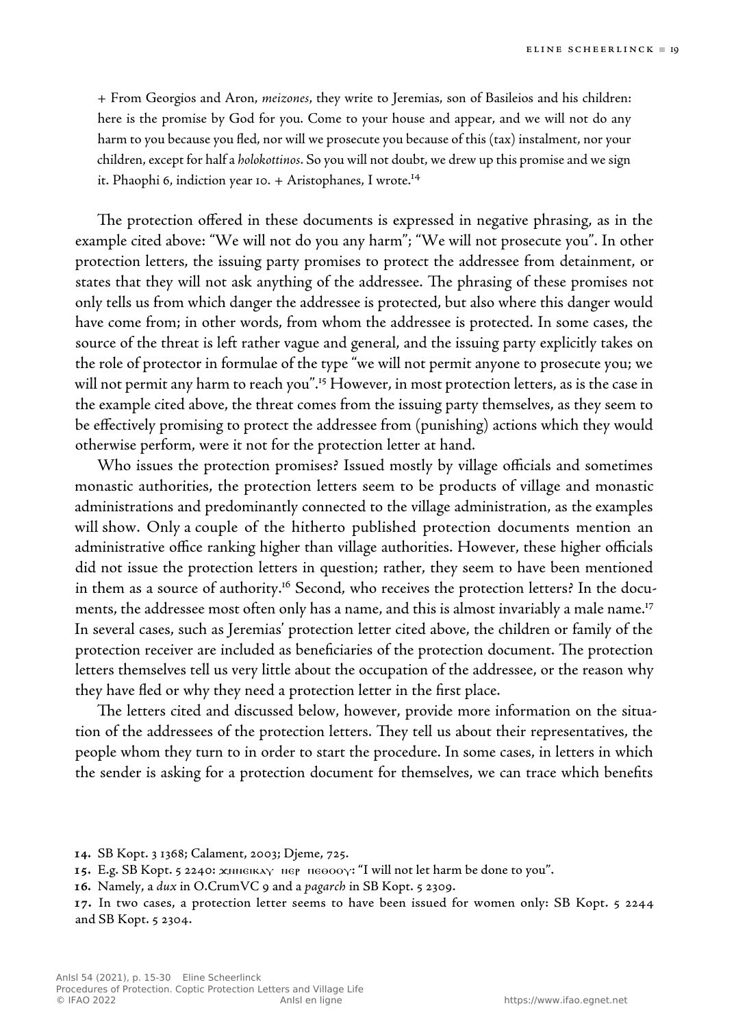+ From Georgios and Aron, *meizones* , they write to Jeremias, son of Basileios and his children: here is the promise by God for you. Come to your house and appear, and we will not do any harm to you because you fled, nor will we prosecute you because of this (tax) instalment, nor your children, except for half a *holokottinos*. So you will not doubt, we drew up this promise and wesign it. Phaophi 6, indiction year 10. + Aristophanes, I wrote.<sup>14</sup>

The protection offered in these documents is expressed in negative phrasing, as in the example cited above: "We will not do you any harm"; "We will not prosecute you". In other protection letters, the issuing party promises to protect the addressee from detainment, or states that they will not ask anything of the addressee. The phrasing of these promises not only tells us from which danger the addressee is protected, but also where this danger would have come from; in other words, from whom the addressee is protected. In some cases, the source of the threat is left rather vague and general, and the issuing party explicitly takes on the role of protector in formulae of the type "we will not permit anyone to prosecute you; we will not permit any harm to reach you".<sup>15</sup> However, in most protection letters, as is the case in the example cited above, the threat comes from the issuing party themselves, as they seem to be effectively promising to protect the addressee from (punishing) actions which they would otherwise perform, were it not for the protection letter at hand.

 Who issues the protection promises? Issued mostly by village officials and sometimes monastic authorities, the protection letters seem to be products of village and monastic administrations and predominantly connected to the village administration, as the examples will show. Only a couple of the hitherto published protection documents mention an administrative office ranking higher than village authorities. However, these higher officials did not issue the protection letters in question; rather, they seem to have been mentioned in them as a source of authority.<sup>16</sup> Second, who receives the protection letters? In the documents, the addressee most often only has a name, and this is almost invariably a male name. 17 In several cases, such as Jeremias' protection letter cited above, the children or family of the protection receiver are included as beneficiaries of the protection document. The protection letters themselves tell us very little about the occupation of the addressee, or the reason why they have fled or why they need a protection letter in the first place.

The letters cited and discussed below, however, provide more information on the situation of the addressees of the protection letters. They tell us about their representatives, the people whom they turn to in order to start the procedure. In some cases, in letters in which the sender is asking for a protection document for themselves, we can trace which benefits

- **.** SB Kopt. 3 1368; Calament, 2003; Djeme, 725.
- **.** E.g. SB Kopt. 5 2240: ϫⲛⲛⲉⲓⲕⲁⲩ ⲛⲉⲣ ⲡⲉⲑⲟⲟⲩ: "I will not let harm be done to you".
- **.** Namely, a *dux* in O.CrumVC 9 and a *pagarch* in SB Kopt. 5 2309.

<sup>17.</sup> In two cases, a protection letter seems to have been issued for women only: SB Kopt. 5 2244 and SB Kopt. 5 2304.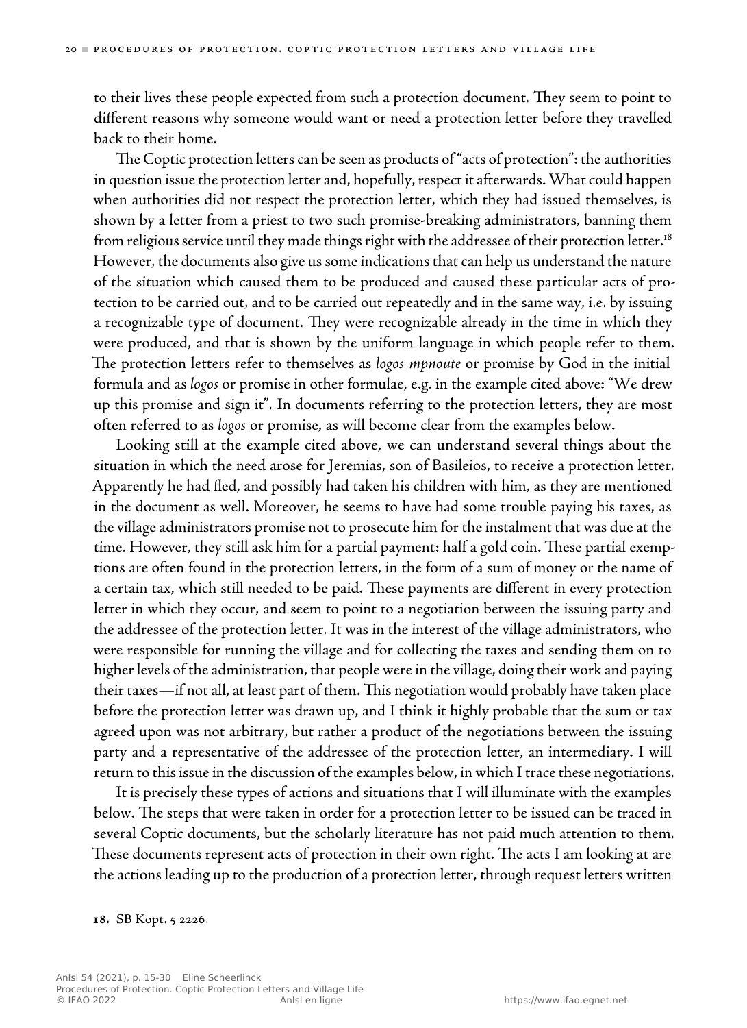to their lives these people expected from such a protection document. They seem to point to different reasons why someone would want or need a protection letter before they travelled back to their home.

The Coptic protection letters can be seen as products of "acts of protection": the authorities in question issue the protection letter and, hopefully, respect it afterwards. What could happen when authorities did not respect the protection letter, which they had issued themselves, is shown by a letter from a priest to two such promise-breaking administrators, banning them from religious service until they made things right with the addressee of their protection letter.<sup>18</sup> However, the documents also give us some indications that can help us understand the nature of the situation which caused them to be produced and caused these particular acts of protection to be carried out, and to be carried out repeatedly and in the same way, i.e. by issuing a recognizable type of document. They were recognizable already in the time in which they were produced, and that is shown by the uniform language in which people refer to them. The protection letters refer to themselves as *logos mpnoute* or promise by God in the initial formula and as *logos* or promise in other formulae, e.g. in the example cited above: "We drew up this promise and sign it". In documents referring to the protection letters, they are most often referred to as *logos* or promise, as will become clear from the examples below.

 Looking still at the example cited above, we can understand several things about the situation in which the need arose for Jeremias, son of Basileios, to receive a protection letter. Apparently he had fled, and possibly had taken his children with him, as they are mentioned in the document as well. Moreover, he seems to have had some trouble paying his taxes, as the village administrators promise not to prosecute him for the instalment that was due at the time. However, they still ask him for a partial payment: half a gold coin. These partial exemptions are often found in the protection letters, in the form of a sum of money or the name of a certain tax, which still needed to be paid. These payments are different in every protection letter in which they occur, and seem to point to a negotiation between the issuing party and the addressee of the protection letter. It was in the interest of the village administrators, who were responsible for running the village and for collecting the taxes and sending them on to higher levels of the administration, that people were in the village, doing their work and paying their taxes—if not all, at least part of them. This negotiation would probably have taken place before the protection letter was drawn up, and I think it highly probable that the sum or tax agreed upon was not arbitrary, but rather a product of the negotiations between the issuing party and a representative of the addressee of the protection letter, an intermediary. I will return to this issue in the discussion of the examples below, in which I trace these negotiations.

 It is precisely these types of actions and situations that I will illuminate with the examples below. The steps that were taken in order for a protection letter to be issued can be traced in several Coptic documents, but the scholarly literature has not paid much attention to them. These documents represent acts of protection in their own right. The acts I am looking at are the actions leading up to the production of a protection letter, through request letters written

**.** SB Kopt. 5 2226.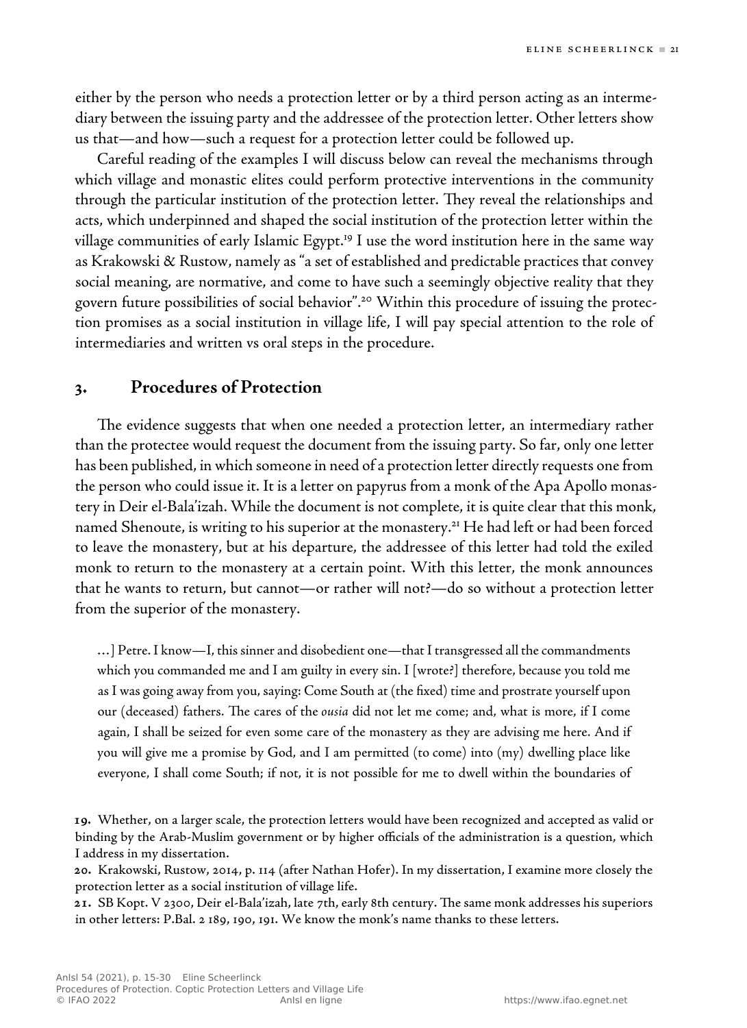either by the person who needs a protection letter or by a third person acting as an intermediary between the issuing party and the addressee of the protection letter. Other letters show us that—and how—such a request for a protection letter could be followed up.

 Careful reading of the examples I will discuss below can reveal the mechanisms through which village and monastic elites could perform protective interventions in the community through the particular institution of the protection letter. They reveal the relationships and acts, which underpinned and shaped the social institution of the protection letter within the village communities of early Islamic Egypt.<sup>19</sup> I use the word institution here in the same way as Krakowski & Rustow, namely as "a set of established and predictable practices that convey social meaning, are normative, and come to have such a seemingly objective reality that they govern future possibilities of social behavior".<sup>20</sup> Within this procedure of issuing the protection promises as a social institution in village life, I will pay special attention to the role of intermediaries and written vs oral steps in the procedure.

## **3. Procedures of Protection**

The evidence suggests that when one needed a protection letter, an intermediary rather than the protectee would request the document from the issuing party. So far, only one letter has been published, in which someone in need of a protection letter directly requests one from the person who could issue it. It is a letter on papyrus from a monk of the Apa Apollo monastery in Deir el-Bala'izah. While the document is not complete, it is quite clear that this monk, named Shenoute, is writing to his superior at the monastery.<sup>21</sup> He had left or had been forced to leave the monastery, but at his departure, the addressee of this letter had told the exiled monk to return to the monastery at a certain point. With this letter, the monk announces that he wants to return, but cannot—or rather will not?—do so without a protection letter from the superior of the monastery.

 …] Petre. I know—I, this sinner and disobedient one—that I transgressed all the commandments which you commanded me and I am guilty in every sin. I [wrote?] therefore, because you told me as I was going away from you, saying: Come South at (the fixed) time and prostrate yourself upon our (deceased) fathers. The cares of the *ousia* did not let me come; and, what is more, if I come again, I shall be seized for even some care of the monastery as they are advising me here. And if you will give me a promise by God, and I am permitted (to come) into (my) dwelling place like everyone, I shall come South; if not, it is not possible for me to dwell within the boundaries of

**.** Whether, on a larger scale, the protection letters would have been recognized and accepted as valid or binding by the Arab-Muslim government or by higher officials of the administration is a question, which I address in my dissertation.

**.** Krakowski, Rustow, 2014, p. 114 (after Nathan Hofer). In my dissertation, I examine more closely the protection letter as a social institution of village life.

21. SB Kopt. V 2300, Deir el-Bala'izah, late 7th, early 8th century. The same monk addresses his superiors in other letters: P.Bal. 2 189, 190, 191. We know the monk's name thanks to these letters.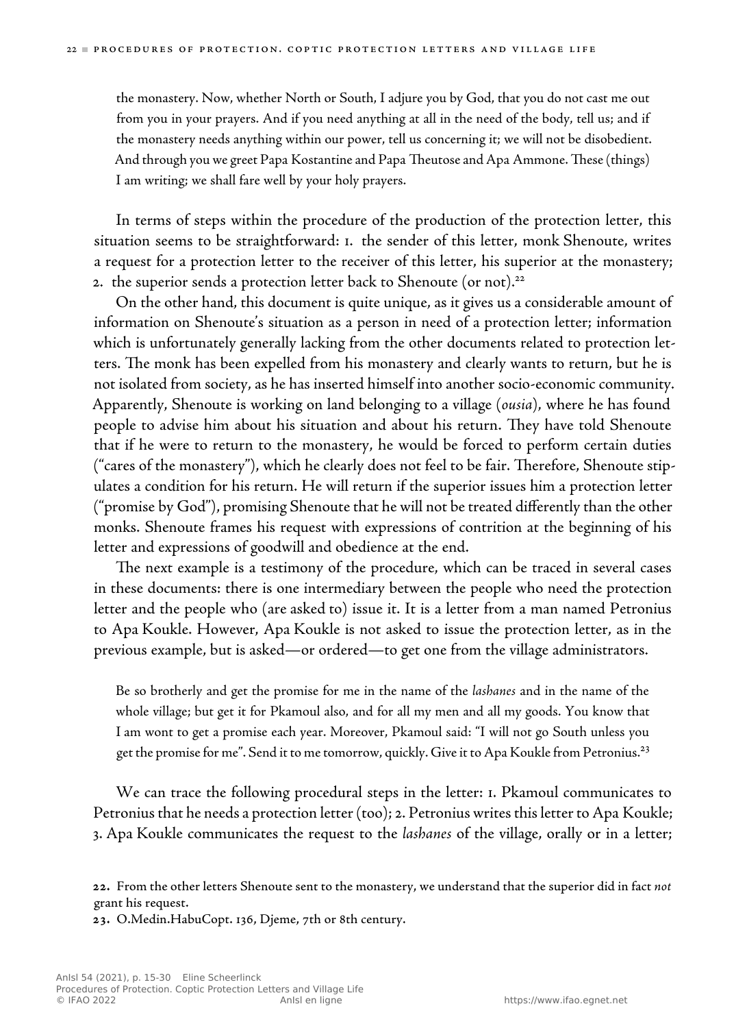the monastery. Now, whether North or South, I adjure you by God, that you do not cast me out from you in your prayers. And if you need anything at all in the need of the body, tell us; and if the monastery needs anything within our power, tell us concerning it; we will not be disobedient. And through you we greet Papa Kostantine and Papa Theutose and Apa Ammone. These (things) I am writing; we shall fare well by your holy prayers.

 In terms of steps within the procedure of the production of the protection letter, this situation seems to be straightforward: 1. the sender of this letter, monk Shenoute, writes a request for a protection letter to the receiver of this letter, his superior at the monastery; 2. the superior sends a protection letter back to Shenoute (or not).<sup>22</sup>

 On the other hand, this document is quite unique, as it gives us a considerable amount of information on Shenoute's situation as a person in need of a protection letter; information which is unfortunately generally lacking from the other documents related to protection letters. The monk has been expelled from his monastery and clearly wants to return, but he is not isolated from society, as he has inserted himself into another socio-economic community. Apparently, Shenoute is working on land belonging to a village ( *ousia* ), where he has found people to advise him about his situation and about his return. They have told Shenoute that if he were to return to the monastery, he would be forced to perform certain duties ("cares of the monastery"), which he clearly does not feel to be fair. Therefore, Shenoute stipulates a condition for his return. He will return if the superior issues him a protection letter ("promise by God"), promising Shenoute that he will not be treated differently than the other monks. Shenoute frames his request with expressions of contrition at the beginning of his letter and expressions of goodwill and obedience at the end.

The next example is a testimony of the procedure, which can be traced in several cases in these documents: there is one intermediary between the people who need the protection letter and the people who (are asked to) issue it. It is a letter from a man named Petronius to Apa Koukle. However, Apa Koukle is not asked to issue the protection letter, as in the previous example, but is asked—or ordered—to get one from the village administrators.

 Be so brotherly and get the promise for me in the name of the *lashanes* and in the name of the whole village; but get it for Pkamoul also, and for all my men and all my goods. You know that I am wont to get a promise each year. Moreover, Pkamoul said: "I will not go South unless you get the promise for me". Send it to me tomorrow, quickly. Give it to Apa Koukle from Petronius.<sup>23</sup>

 We can trace the following procedural steps in the letter: 1. Pkamoul communicates to Petronius that he needs a protection letter (too); 2. Petronius writes thisletter to Apa Koukle; 3. Apa Koukle communicates the request to the *lashanes* of the village, orally or in a letter;

**.** O.Medin.HabuCopt. 136, Djeme, 7th or 8th century.

**<sup>.</sup>** From the other letters Shenoute sent to the monastery, we understand that the superior did in fact *not* grant his request.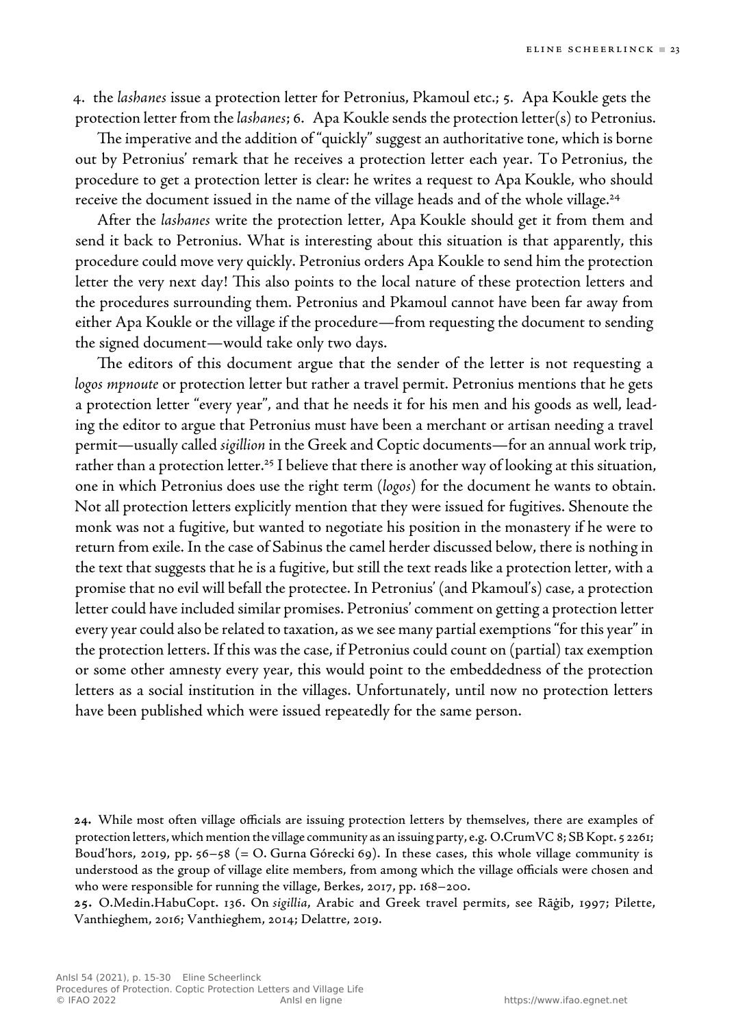4. the *lashanes* issue a protection letter for Petronius, Pkamoul etc.; 5. Apa Koukle gets the protection letter from the *lashanes* ; 6. Apa Kouklesends the protection letter(s) to Petronius.

The imperative and the addition of "quickly" suggest an authoritative tone, which is borne out by Petronius' remark that he receives a protection letter each year. To Petronius, the procedure to get a protection letter is clear: he writes a request to Apa Koukle, who should receive the document issued in the name of the village heads and of the whole village. 24

 After the *lashanes* write the protection letter, Apa Koukle should get it from them and send it back to Petronius. What is interesting about this situation is that apparently, this procedure could move very quickly. Petronius orders Apa Koukle to send him the protection letter the very next day! This also points to the local nature of these protection letters and the procedures surrounding them. Petronius and Pkamoul cannot have been far away from either Apa Koukle or the village if the procedure—from requesting the document to sending the signed document—would take only two days.

The editors of this document argue that the sender of the letter is not requesting a *logos mpnoute* or protection letter but rather a travel permit. Petronius mentions that he gets a protection letter "every year", and that he needs it for his men and his goods as well, leading the editor to argue that Petronius must have been a merchant or artisan needing a travel permit—usually called *sigillion* in the Greek and Coptic documents—for an annual work trip, rather than a protection letter.<sup>25</sup> I believe that there is another way of looking at this situation, one in which Petronius does use the right term ( *logos* ) for the document he wants to obtain. Not all protection letters explicitly mention that they were issued for fugitives. Shenoute the monk was not a fugitive, but wanted to negotiate his position in the monastery if he were to return from exile. In the case of Sabinus the camel herder discussed below, there is nothing in the text that suggests that heis a fugitive, but still the text reads like a protection letter, with a promise that no evil will befall the protectee. In Petronius' (and Pkamoul's) case, a protection letter could have included similar promises. Petronius' comment on getting a protection letter every year could also be related to taxation, as we see many partial exemptions "for this year" in the protection letters. If this was the case, if Petronius could count on (partial) tax exemption or some other amnesty every year, this would point to the embeddedness of the protection letters as a social institution in the villages. Unfortunately, until now no protection letters have been published which were issued repeatedly for the same person.

**<sup>.</sup>** While most often village officials are issuing protection letters by themselves, there are examples of protection letters, which mention the village community as an issuing party, e.g. O.CrumVC 8; SB Kopt. 5 2261; Boud'hors, 2019, pp. 56–58 (= O. Gurna Górecki 69). In these cases, this whole village community is understood as the group of village elite members, from among which the village officials were chosen and who were responsible for running the village, Berkes, 2017, pp. 168–200.

**<sup>.</sup>** O.Medin.HabuCopt. 136. On *sigillia* , Arabic and Greek travel permits, see Rāġib, 1997; Pilette, Vanthieghem, 2016; Vanthieghem, 2014; Delattre, 2019.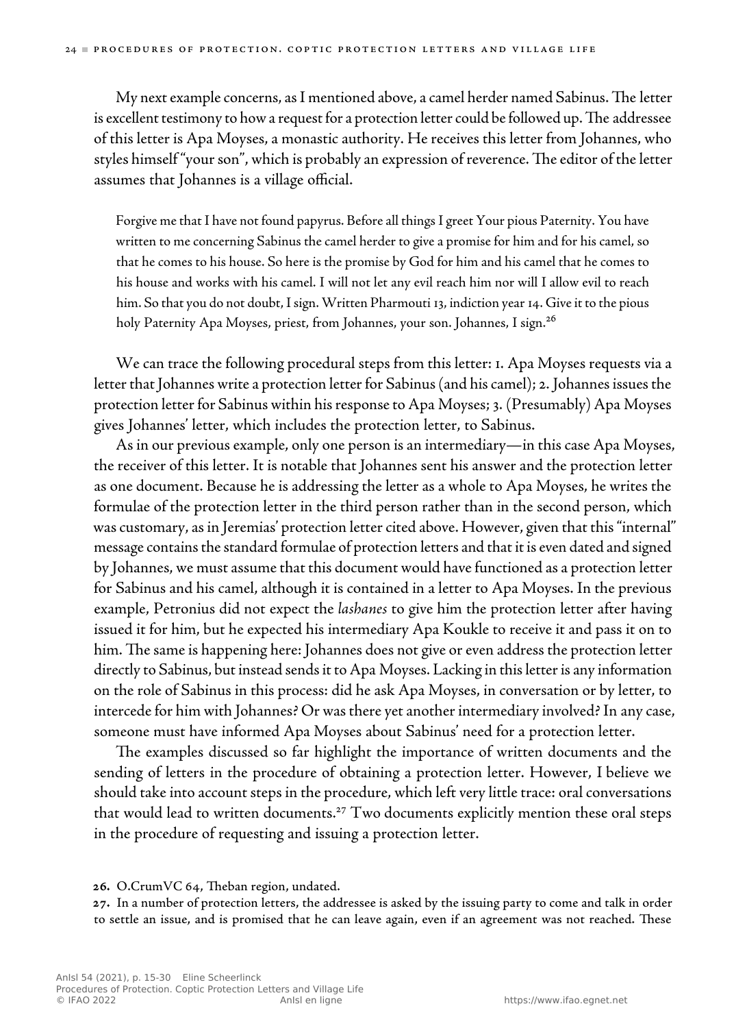My next example concerns, as I mentioned above, a camel herder named Sabinus. The letter is excellent testimony to how a request for a protection letter could be followed up. The addressee of this letter is Apa Moyses, a monastic authority. He receives this letter from Johannes, who styles himself "your son", which is probably an expression of reverence. The editor of the letter assumes that Johannes is a village official.

 Forgive me that I have not found papyrus. Before all things I greet Your pious Paternity. You have written to me concerning Sabinus the camel herder to give a promise for him and for his camel, so that he comes to his house. So here is the promise by God for him and his camel that he comes to his house and works with his camel. I will not let any evil reach him nor will I allow evil to reach him. So that you do not doubt, I sign. Written Pharmouti 13, indiction year 14. Give it to the pious holy Paternity Apa Moyses, priest, from Johannes, your son. Johannes, I sign. 26

 We can trace the following procedural steps from this letter: 1. Apa Moyses requests via a letter that Johannes write a protection letter for Sabinus (and his camel); 2. Johannesissues the protection letter for Sabinus within his response to Apa Moyses; 3. (Presumably) Apa Moyses gives Johannes' letter, which includes the protection letter, to Sabinus.

As in our previous example, only one person is an intermediary—in this case Apa Moyses, the receiver of this letter. It is notable that Johannes sent his answer and the protection letter as one document. Because he is addressing the letter as a whole to Apa Moyses, he writes the formulae of the protection letter in the third person rather than in the second person, which was customary, as in Jeremias' protection letter cited above. However, given that this "internal" message contains the standard formulae of protection letters and that it is even dated and signed by Johannes, we must assume that this document would have functioned as a protection letter for Sabinus and his camel, although it is contained in a letter to Apa Moyses. In the previous example, Petronius did not expect the *lashanes* to give him the protection letter after having issued it for him, but he expected his intermediary Apa Koukle to receive it and pass it on to him. The same is happening here: Johannes does not give or even address the protection letter directly to Sabinus, but instead sends it to Apa Moyses. Lacking in this letter is any information on the role of Sabinus in this process: did he ask Apa Moyses, in conversation or by letter, to intercede for him with Johannes? Or was there yet another intermediary involved? In any case, someone must have informed Apa Moyses about Sabinus' need for a protection letter.

The examples discussed so far highlight the importance of written documents and the sending of letters in the procedure of obtaining a protection letter. However, I believe we should take into account steps in the procedure, which left very little trace: oral conversations that would lead to written documents.<sup>27</sup> Two documents explicitly mention these oral steps in the procedure of requesting and issuing a protection letter.

**.** In a number of protection letters, the addressee is asked by the issuing party to come and talk in order to settle an issue, and is promised that he can leave again, even if an agreement was not reached. These

<sup>26.</sup> O.CrumVC 64, Theban region, undated.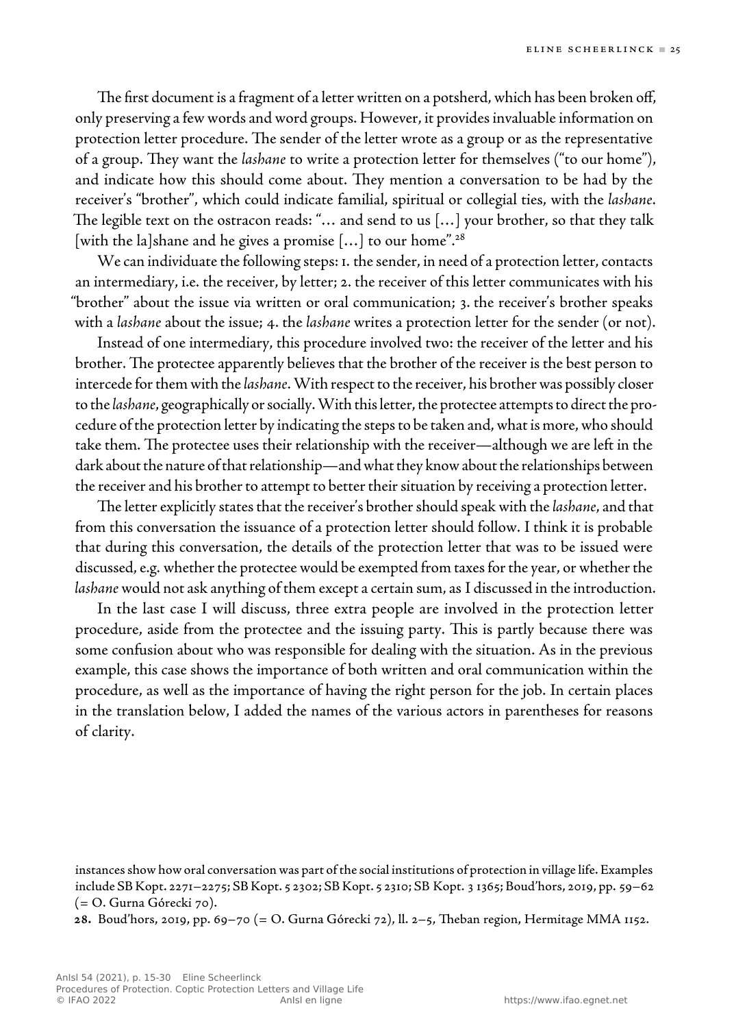The first document is a fragment of a letter written on a potsherd, which has been broken off, only preserving a few words and word groups. However, it provides invaluable information on protection letter procedure. The sender of the letter wrote as a group or as the representative of a group. They want the *lashane* to write a protection letter for themselves ("to our home"), and indicate how this should come about. They mention a conversation to be had by the receiver's "brother", which could indicate familial, spiritual or collegial ties, with the *lashane* . The legible text on the ostracon reads: "... and send to us [...] your brother, so that they talk [with the la]shane and he gives a promise  $[...]$  to our home".<sup>28</sup>

We can individuate the following steps: 1. the sender, in need of a protection letter, contacts an intermediary, i.e. the receiver, by letter; 2. the receiver of this letter communicates with his "brother" about the issue via written or oral communication; 3. the receiver's brother speaks with a *lashane* about the issue; 4. the *lashane* writes a protection letter for the sender (or not).

 Instead of one intermediary, this procedure involved two: the receiver of the letter and his brother. The protectee apparently believes that the brother of the receiver is the best person to intercede for them with the *lashane* . With respect to the receiver, his brother was possibly closer to the *lashane* , geographically or socially. With thisletter, the protectee attempts to direct the procedure of the protection letter by indicating the steps to be taken and, what is more, who should take them. The protectee uses their relationship with the receiver—although we are left in the dark about the nature of that relationship—and what they know about the relationships between the receiver and his brother to attempt to better their situation by receiving a protection letter.

The letter explicitly states that the receiver's brother should speak with the *lashane*, and that from this conversation the issuance of a protection letter should follow. I think it is probable that during this conversation, the details of the protection letter that was to be issued were discussed, e.g. whether the protectee would be exempted from taxes for the year, or whether the *lashane* would not ask anything of them except a certain sum, as I discussed in the introduction.

 In the last case I will discuss, three extra people are involved in the protection letter procedure, aside from the protectee and the issuing party. This is partly because there was some confusion about who was responsible for dealing with the situation. As in the previous example, this case shows the importance of both written and oral communication within the procedure, as well as the importance of having the right person for the job. In certain places in the translation below, I added the names of the various actors in parentheses for reasons of clarity.

instances show how oral conversation was part of the social institutions of protection in village life. Examples include SB Kopt. 2271–2275; SB Kopt. 5 2302; SB Kopt. 5 2310; SB Kopt. 3 1365; Boud'hors, 2019, pp. 59–62 (= O. Gurna Górecki 70).

**.** Boud'hors, 2019, pp. 69–70 (= O. Gurna Górecki 72), ll. 2–5, eban region, Hermitage MMA 1152.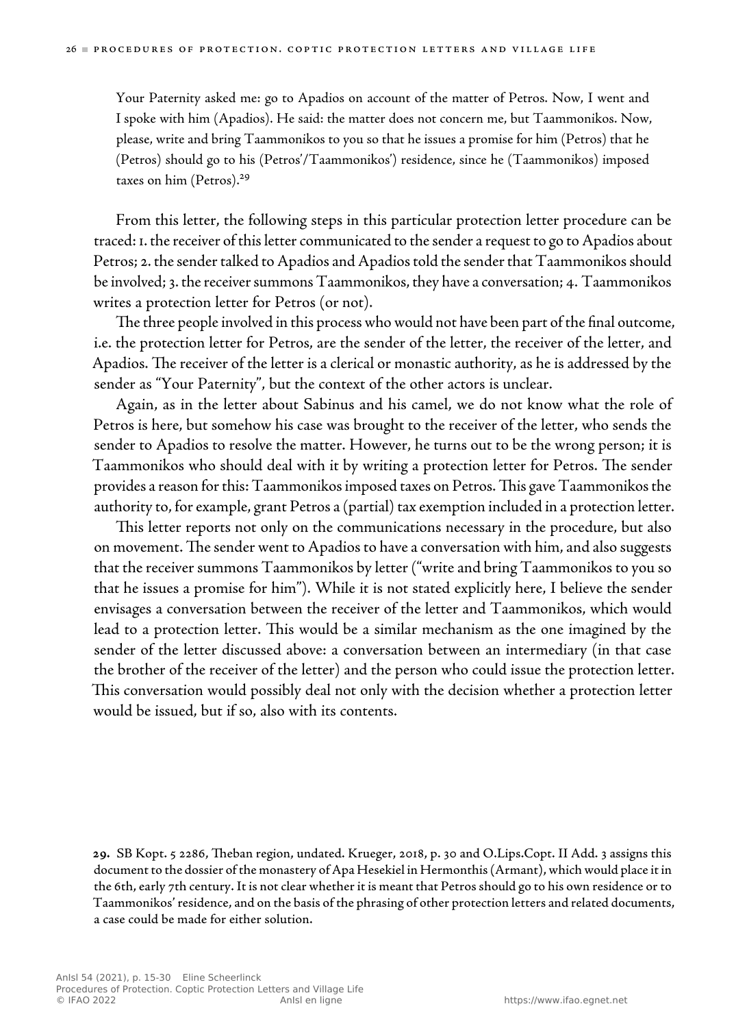Your Paternity asked me: go to Apadios on account of the matter of Petros. Now, I went and I spoke with him (Apadios). He said: the matter does not concern me, but Taammonikos. Now, please, write and bring Taammonikos to you so that he issues a promise for him (Petros) that he (Petros) should go to his (Petros'/Taammonikos') residence, since he (Taammonikos) imposed taxes on him (Petros).<sup>29</sup>

 From this letter, the following steps in this particular protection letter procedure can be traced: 1. the receiver of thisletter communicated to thesender a request to go to Apadios about Petros; 2. the sender talked to Apadios and Apadios told the sender that Taammonikos should be involved; 3. the receiver summons Taammonikos, they have a conversation; 4. Taammonikos writes a protection letter for Petros (or not).

The three people involved in this process who would not have been part of the final outcome, i.e. the protection letter for Petros, are the sender of the letter, the receiver of the letter, and Apadios. The receiver of the letter is a clerical or monastic authority, as he is addressed by the sender as "Your Paternity", but the context of the other actors is unclear.

 Again, as in the letter about Sabinus and his camel, we do not know what the role of Petros is here, but somehow his case was brought to the receiver of the letter, who sends the sender to Apadios to resolve the matter. However, he turns out to be the wrong person; it is Taammonikos who should deal with it by writing a protection letter for Petros. The sender provides a reason for this: Taammonikos imposed taxes on Petros. This gave Taammonikos the authority to, for example, grant Petros a (partial) tax exemption included in a protection letter.

This letter reports not only on the communications necessary in the procedure, but also on movement. The sender went to Apadios to have a conversation with him, and also suggests that the receiver summons Taammonikos by letter ("write and bring Taammonikos to you so that he issues a promise for him"). While it is not stated explicitly here, I believe the sender envisages a conversation between the receiver of the letter and Taammonikos, which would lead to a protection letter. This would be a similar mechanism as the one imagined by the sender of the letter discussed above: a conversation between an intermediary (in that case the brother of the receiver of the letter) and the person who could issue the protection letter. This conversation would possibly deal not only with the decision whether a protection letter would be issued, but if so, also with its contents.

29. SB Kopt. 5 2286, Theban region, undated. Krueger, 2018, p. 30 and O.Lips.Copt. II Add. 3 assigns this document to the dossier of the monastery of Apa Hesekiel in Hermonthis (Armant), which would place it in the 6th, early 7th century. It is not clear whether it is meant that Petros should go to his own residence or to Taammonikos' residence, and on the basis of the phrasing of other protection letters and related documents, a case could be made for either solution.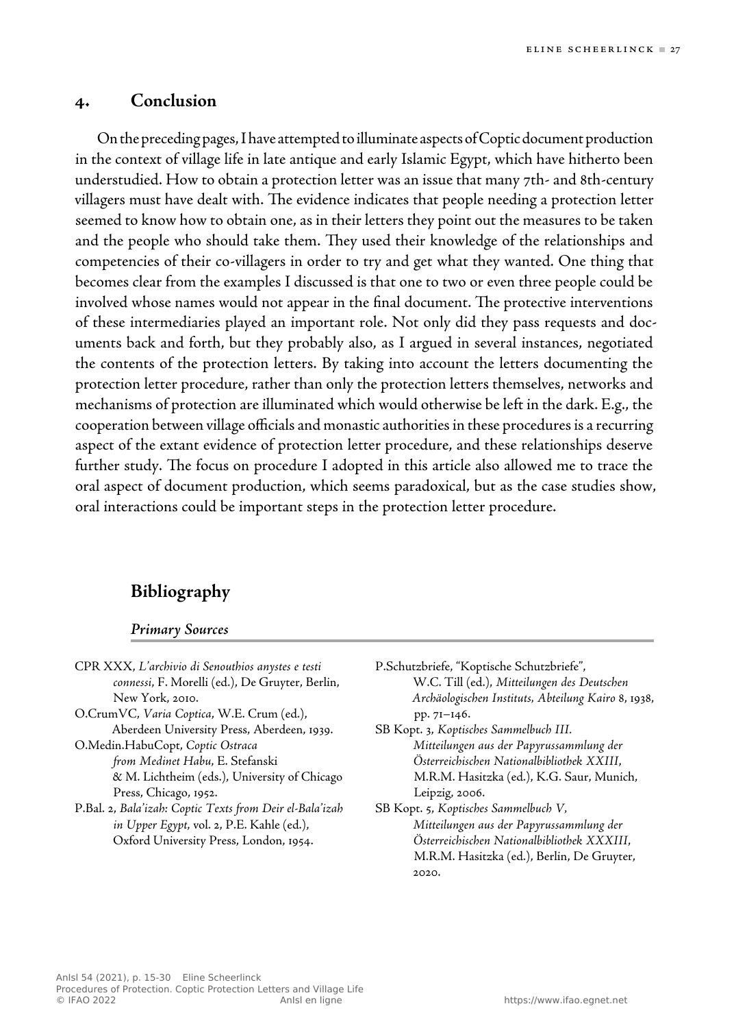### **4. Conclusion**

On the preceding pages, I have attempted to illuminate aspects of Coptic document production in the context of village life in late antique and early Islamic Egypt, which have hitherto been understudied. How to obtain a protection letter was an issue that many 7th- and 8th-century villagers must have dealt with. The evidence indicates that people needing a protection letter seemed to know how to obtain one, as in their letters they point out the measures to be taken and the people who should take them. They used their knowledge of the relationships and competencies of their co-villagers in order to try and get what they wanted. One thing that becomes clear from the examples I discussed is that one to two or even three people could be involved whose names would not appear in the final document. The protective interventions of these intermediaries played an important role. Not only did they pass requests and documents back and forth, but they probably also, as I argued in several instances, negotiated the contents of the protection letters. By taking into account the letters documenting the protection letter procedure, rather than only the protection letters themselves, networks and mechanisms of protection areilluminated which would otherwise beleft in the dark. E.g., the cooperation between village officials and monastic authorities in these procedures is a recurring aspect of the extant evidence of protection letter procedure, and these relationships deserve further study. The focus on procedure I adopted in this article also allowed me to trace the oral aspect of document production, which seems paradoxical, but as the case studies show, oral interactions could be important steps in the protection letter procedure.

## **Bibliography**

#### *Primary Sources*

 CPR XXX, *L'archivio di Senouthios anystes e testi connessi* , F. Morelli (ed.), De Gruyter, Berlin, New York, 2010. O.CrumVC, *Varia Coptica*, W.E. Crum (ed.), Aberdeen University Press, Aberdeen, 1939. O.Medin.HabuCopt, *Coptic Ostraca from Medinet Habu* , E. Stefanski & M. Lichtheim (eds.), University of Chicago Press, Chicago, 1952. P.Bal. 2, *Bala'izah: Coptic Texts from Deir el-Bala'izah in Upper Egypt, vol. 2, P.E. Kahle (ed.),* Oxford University Press, London, 1954.

 P.Schutzbriefe, "Koptische Schutzbriefe", W.C. Till (ed.), *Mitteilungen des Deutschen Archäologischen Instituts, Abteilung Kairo* 8, 1938, pp. 71–146. SB Kopt. 3, *Koptisches Sammelbuch III.* 

*Mitteilungen aus der Papyrussammlung der Österreichischen Nationalbibliothek XXIII*, M.R.M. Hasitzka (ed.), K.G. Saur, Munich, Leipzig, 2006.

 SB Kopt. 5, *Koptisches Sammelbuch V, Mitteilungen aus der Papyrussammlung der Österreichischen Nationalbibliothek XXXIII*, M.R.M. Hasitzka (ed.), Berlin, De Gruyter, 2020.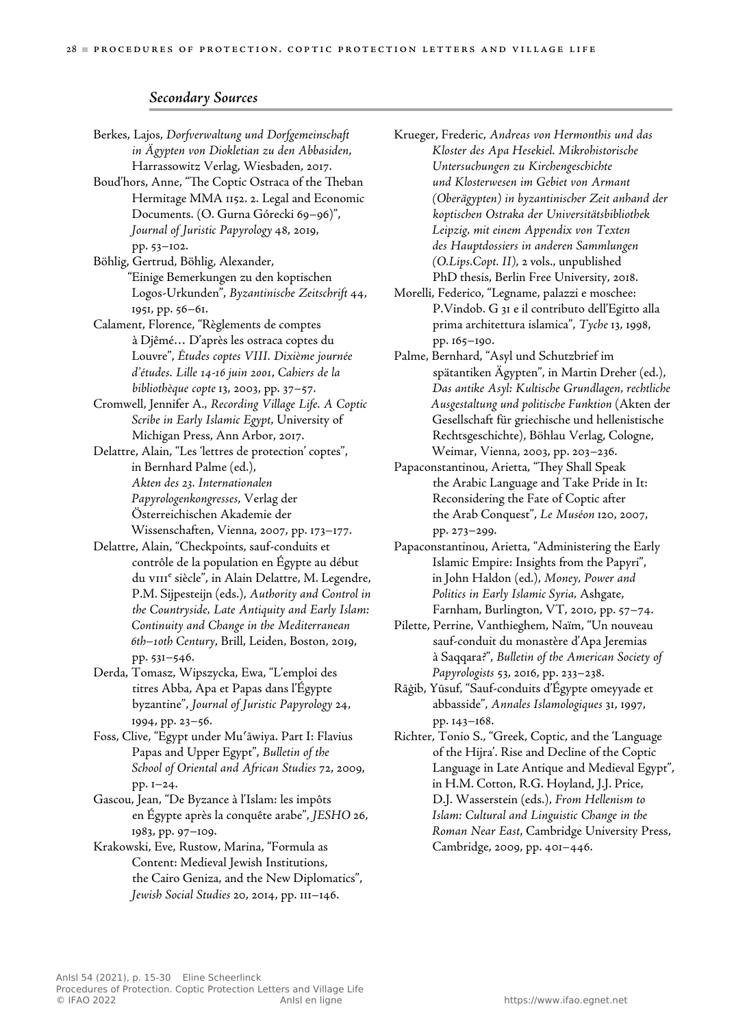#### *Secondary Sources*

 Berkes, Lajos, *Dorfverwaltung und Dorfgemeinschaft in Ägypten von Diokletian zu den Abbasiden* , Harrassowitz Verlag, Wiesbaden, 2017. Boud'hors, Anne, "The Coptic Ostraca of the Theban Hermitage MMA 1152. 2. Legal and Economic Documents. (O. Gurna Górecki 69–96)", *Journal of Juristic Papyrology* 48, 2019, pp. 53–102. Böhlig, Gertrud, Böhlig, Alexander, "Einige Bemerkungen zu den koptischen Logos-Urkunden", *Byzantinische Zeitschrift* 44, 1951, pp. 56–61. Calament, Florence, "Règlements de comptes à Djêmé… D'après les ostraca coptes du Louvre", *Études coptes VIII. Dixième journée d'études. Lille 14-16 juin 2001*, *Cahiers de la bibliothèque copte* 13, 2003, pp. 37–57. Cromwell, Jennifer A *., Recording Village Life. A Coptic Scribe in Early Islamic Egypt*, University of Michigan Press, Ann Arbor, 2017. Delattre, Alain, "Les 'lettres de protection' coptes", in Bernhard Palme (ed.), *Akten des 23. Internationalen Papyrologenkongresses* , Verlag der Österreichischen Akademie der Wissenschaften, Vienna, 2007, pp. 173–177. Delattre, Alain, "Checkpoints, sauf-conduits et contrôle de la population en Égypte au début du vIII<sup>e</sup> siècle", in Alain Delattre, M. Legendre, P.M. Sijpesteijn (eds.), *Authority and Control in the Countryside, Late Antiquity and Early Islam: Continuity and Change in the Mediterranean 6th–10th Century* , Brill, Leiden, Boston, 2019, pp. 531–546. Derda, Tomasz, Wipszycka, Ewa, "L'emploi des titres Abba, Apa et Papas dans l'Égypte byzantine", *Journal of Juristic Papyrology* 24, 1994, pp. 23–56.

 Foss, Clive, "Egypt under Muʿāwiya. Part I: Flavius Papas and Upper Egypt", *Bulletin of the School of Oriental and African Studies* 72, 2009, pp. 1–24.

 Gascou, Jean, "De Byzance à l'Islam: les impôts en Égypte après la conquête arabe", *JESHO* 26, 1983, pp. 97–109.

 Krakowski, Eve, Rustow, Marina, "Formula as Content: Medieval Jewish Institutions, the Cairo Geniza, and the New Diplomatics", *Jewish Social Studies* 20, 2014, pp. 111–146.

 Krueger, Frederic, *Andreas von Hermonthis und das Kloster des Apa Hesekiel. Mikrohistorische Untersuchungen zu Kirchengeschichte und Klosterwesen im Gebiet von Armant (Oberägypten) in byzantinischer Zeit anhand der koptischen Ostraka der Universitätsbibliothek Leipzig, mit einem Appendix von Texten des Hauptdossiers in anderen Sammlungen (O.Lips.Copt. II)*, 2 vols., unpublished PhD thesis, Berlin Free University, 2018.

 Morelli, Federico, "Legname, palazzi e moschee: P.Vindob. G 31 e il contributo dell'Egitto alla prima architettura islamica", *Tyche* 13, 1998, pp. 165–190.

 Palme, Bernhard, "Asyl und Schutzbrief im spätantiken Ägypten", in Martin Dreher (ed.), *Das antike Asyl: Kultische Grundlagen, rechtliche Ausgestaltung und politische Funktion* (Akten der Gesellschaft für griechische und hellenistische Rechtsgeschichte), Böhlau Verlag, Cologne, Weimar, Vienna, 2003, pp. 203–236.

Papaconstantinou, Arietta, "They Shall Speak the Arabic Language and Take Pride in It: Reconsidering the Fate of Coptic after the Arab Conquest", *Le Muséon* 120, 2007, pp. 273–299.

 Papaconstantinou, Arietta, "Administering the Early Islamic Empire: Insights from the Papyri", in John Haldon (ed.), *Money, Power and Politics in Early Islamic Syria,* Ashgate, Farnham, Burlington, VT, 2010, pp. 57–74.

 Pilette, Perrine, Vanthieghem, Naïm, "Un nouveau sauf-conduit du monastère d'Apa Jeremias à Saqqara?", *Bulletin of the American Society of Papyrologists* 53, 2016, pp. 233–238.

 Rāġib, Yūsuf, "Sauf-conduits d'Égypte omeyyade et abbasside", *Annales Islamologiques* 31, 1997, pp. 143–168.

 Richter, Tonio S., "Greek, Coptic, and the 'Language of the Hijra'. Rise and Decline of the Coptic Language in Late Antique and Medieval Egypt", in H.M. Cotton, R.G. Hoyland, J.J. Price, D.J. Wasserstein (eds.), *From Hellenism to Islam: Cultural and Linguistic Change in the Roman Near East* , Cambridge University Press, Cambridge, 2009, pp. 401–446.